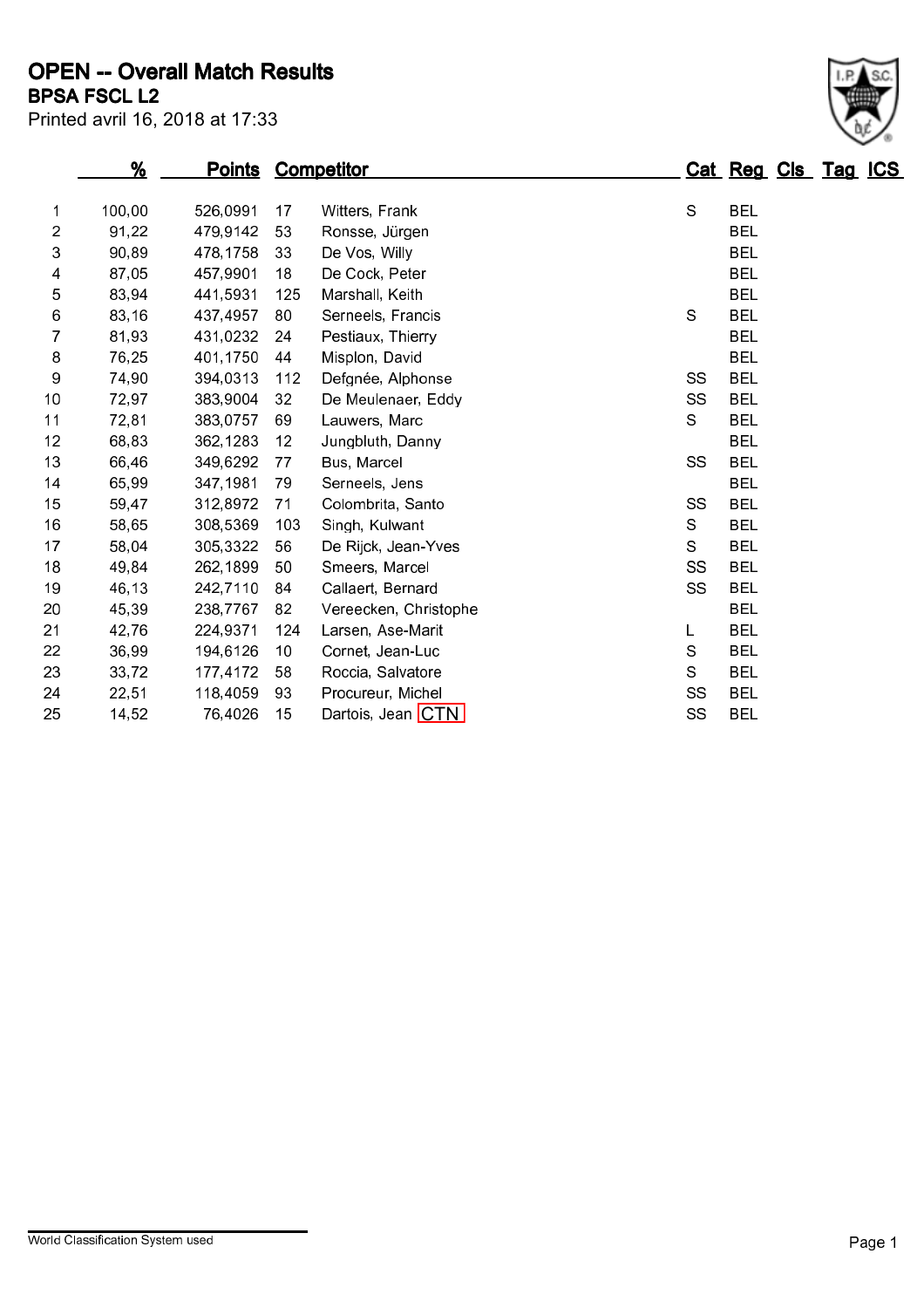Printed avril 16, 2018 at 17:33 BPSA FSCL L2 OPEN -- Overall Match Results

|                | %      |          |                 | <b>Points Competitor</b> |           | Cat Reg Cls Tag ICS |  |  |
|----------------|--------|----------|-----------------|--------------------------|-----------|---------------------|--|--|
| 1              | 100,00 | 526,0991 | 17              | Witters, Frank           | S         | <b>BEL</b>          |  |  |
| $\overline{2}$ | 91,22  | 479,9142 | 53              | Ronsse, Jürgen           |           | <b>BEL</b>          |  |  |
| 3              | 90,89  | 478,1758 | 33              | De Vos, Willy            |           | <b>BEL</b>          |  |  |
| 4              | 87,05  | 457,9901 | 18              | De Cock, Peter           |           | <b>BEL</b>          |  |  |
| 5              | 83,94  | 441,5931 | 125             | Marshall, Keith          |           | <b>BEL</b>          |  |  |
| 6              | 83,16  | 437,4957 | 80              | Serneels, Francis        | S         | <b>BEL</b>          |  |  |
| 7              | 81,93  | 431,0232 | 24              | Pestiaux, Thierry        |           | <b>BEL</b>          |  |  |
| 8              | 76,25  | 401,1750 | 44              | Misplon, David           |           | <b>BEL</b>          |  |  |
| 9              | 74,90  | 394,0313 | 112             | Defgnée, Alphonse        | SS        | <b>BEL</b>          |  |  |
| 10             | 72,97  | 383,9004 | 32              | De Meulenaer, Eddy       | SS        | <b>BEL</b>          |  |  |
| 11             | 72,81  | 383,0757 | 69              | Lauwers, Marc            | S         | <b>BEL</b>          |  |  |
| 12             | 68,83  | 362,1283 | 12              | Jungbluth, Danny         |           | <b>BEL</b>          |  |  |
| 13             | 66,46  | 349,6292 | 77              | Bus, Marcel              | <b>SS</b> | <b>BEL</b>          |  |  |
| 14             | 65,99  | 347,1981 | 79              | Serneels, Jens           |           | <b>BEL</b>          |  |  |
| 15             | 59,47  | 312,8972 | 71              | Colombrita, Santo        | SS        | <b>BEL</b>          |  |  |
| 16             | 58,65  | 308,5369 | 103             | Singh, Kulwant           | S         | <b>BEL</b>          |  |  |
| 17             | 58,04  | 305,3322 | 56              | De Rijck, Jean-Yves      | S         | <b>BEL</b>          |  |  |
| 18             | 49,84  | 262,1899 | 50              | Smeers, Marcel           | <b>SS</b> | <b>BEL</b>          |  |  |
| 19             | 46,13  | 242,7110 | 84              | Callaert, Bernard        | SS        | <b>BEL</b>          |  |  |
| 20             | 45,39  | 238,7767 | 82              | Vereecken, Christophe    |           | <b>BEL</b>          |  |  |
| 21             | 42,76  | 224,9371 | 124             | Larsen, Ase-Marit        | L         | <b>BEL</b>          |  |  |
| 22             | 36,99  | 194,6126 | 10 <sup>°</sup> | Cornet, Jean-Luc         | S         | <b>BEL</b>          |  |  |
| 23             | 33,72  | 177,4172 | 58              | Roccia, Salvatore        | S.        | <b>BEL</b>          |  |  |
| 24             | 22,51  | 118,4059 | 93              | Procureur, Michel        | SS        | <b>BEL</b>          |  |  |
| 25             | 14,52  | 76,4026  | 15              | Dartois, Jean CTN        | SS        | <b>BEL</b>          |  |  |
|                |        |          |                 |                          |           |                     |  |  |

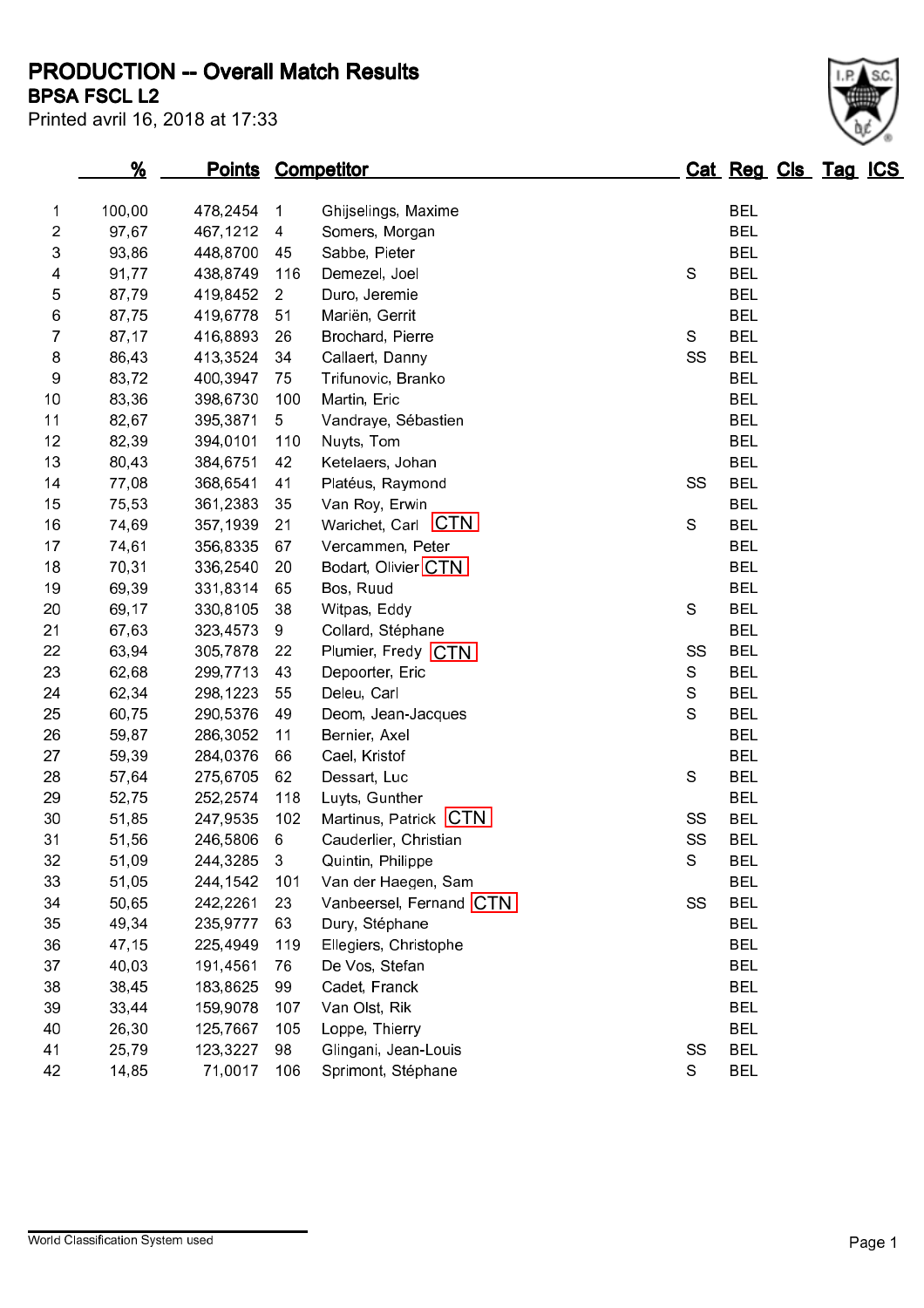PRODUCTION -- Overall Match Results

Printed avril 16, 2018 at 17:33

## BPSA FSCL L2

|    | <u>%</u> |          |                 | <b>Points Competitor</b> |               | Cat Reg Cls Tag ICS |  |  |
|----|----------|----------|-----------------|--------------------------|---------------|---------------------|--|--|
| 1  | 100,00   | 478,2454 | 1               | Ghijselings, Maxime      |               | <b>BEL</b>          |  |  |
| 2  | 97,67    | 467,1212 | $\overline{4}$  | Somers, Morgan           |               | <b>BEL</b>          |  |  |
| 3  | 93,86    | 448,8700 | 45              | Sabbe, Pieter            |               | <b>BEL</b>          |  |  |
| 4  | 91,77    | 438,8749 | 116             | Demezel, Joel            | $\mathbb S$   | <b>BEL</b>          |  |  |
| 5  | 87,79    | 419,8452 | $\overline{2}$  | Duro, Jeremie            |               | <b>BEL</b>          |  |  |
| 6  | 87,75    | 419,6778 | 51              | Mariën, Gerrit           |               | <b>BEL</b>          |  |  |
| 7  | 87,17    | 416,8893 | 26              | Brochard, Pierre         | S             | <b>BEL</b>          |  |  |
| 8  | 86,43    | 413,3524 | 34              | Callaert, Danny          | SS            | <b>BEL</b>          |  |  |
| 9  | 83,72    | 400,3947 | 75              | Trifunovic, Branko       |               | <b>BEL</b>          |  |  |
| 10 | 83,36    | 398,6730 | 100             | Martin, Eric             |               | <b>BEL</b>          |  |  |
| 11 | 82,67    | 395,3871 | $5\phantom{.0}$ | Vandraye, Sébastien      |               | <b>BEL</b>          |  |  |
| 12 | 82,39    | 394,0101 | 110             | Nuyts, Tom               |               | <b>BEL</b>          |  |  |
| 13 | 80,43    | 384,6751 | 42              | Ketelaers, Johan         |               | <b>BEL</b>          |  |  |
| 14 | 77,08    | 368,6541 | 41              | Platéus, Raymond         | SS            | <b>BEL</b>          |  |  |
| 15 | 75,53    | 361,2383 | 35              | Van Roy, Erwin           |               | <b>BEL</b>          |  |  |
| 16 | 74,69    | 357,1939 | 21              | Warichet, Carl CTN       | $\mathbf S$   | <b>BEL</b>          |  |  |
| 17 | 74,61    | 356,8335 | 67              | Vercammen, Peter         |               | <b>BEL</b>          |  |  |
| 18 | 70,31    | 336,2540 | 20              | Bodart, Olivier CTN      |               | <b>BEL</b>          |  |  |
| 19 | 69,39    | 331,8314 | 65              | Bos, Ruud                |               | <b>BEL</b>          |  |  |
| 20 | 69,17    | 330,8105 | 38              | Witpas, Eddy             | ${\mathbb S}$ | <b>BEL</b>          |  |  |
| 21 | 67,63    | 323,4573 | 9               | Collard, Stéphane        |               | <b>BEL</b>          |  |  |
| 22 | 63,94    | 305,7878 | 22              | Plumier, Fredy CTN       | SS            | <b>BEL</b>          |  |  |
| 23 | 62,68    | 299,7713 | 43              | Depoorter, Eric          | ${\mathsf S}$ | <b>BEL</b>          |  |  |
| 24 | 62,34    | 298,1223 | 55              | Deleu, Carl              | ${\mathsf S}$ | <b>BEL</b>          |  |  |
| 25 | 60,75    | 290,5376 | 49              | Deom, Jean-Jacques       | S             | <b>BEL</b>          |  |  |
| 26 | 59,87    | 286,3052 | 11              | Bernier, Axel            |               | <b>BEL</b>          |  |  |
| 27 | 59,39    | 284,0376 | 66              | Cael, Kristof            |               | <b>BEL</b>          |  |  |
| 28 | 57,64    | 275,6705 | 62              | Dessart, Luc             | ${\mathbb S}$ | <b>BEL</b>          |  |  |
| 29 | 52,75    | 252,2574 | 118             | Luyts, Gunther           |               | <b>BEL</b>          |  |  |
| 30 | 51,85    | 247,9535 | 102             | Martinus, Patrick CTN    | SS            | <b>BEL</b>          |  |  |
| 31 | 51,56    | 246,5806 | 6               | Cauderlier, Christian    | SS            | <b>BEL</b>          |  |  |
| 32 | 51,09    | 244,3285 | $\mathfrak{Z}$  | Quintin, Philippe        | ${\mathbb S}$ | <b>BEL</b>          |  |  |
| 33 | 51,05    | 244,1542 | 101             | Van der Haegen, Sam      |               | <b>BEL</b>          |  |  |
| 34 | 50,65    | 242,2261 | 23              | Vanbeersel, Fernand CTN  | SS            | <b>BEL</b>          |  |  |
| 35 | 49,34    | 235,9777 | 63              | Dury, Stéphane           |               | <b>BEL</b>          |  |  |
| 36 | 47,15    | 225,4949 | 119             | Ellegiers, Christophe    |               | <b>BEL</b>          |  |  |
| 37 | 40,03    | 191,4561 | 76              | De Vos, Stefan           |               | <b>BEL</b>          |  |  |
| 38 | 38,45    | 183,8625 | 99              | Cadet, Franck            |               | <b>BEL</b>          |  |  |
| 39 | 33,44    | 159,9078 | 107             | Van Olst, Rik            |               | <b>BEL</b>          |  |  |
| 40 | 26,30    | 125,7667 | 105             | Loppe, Thierry           |               | <b>BEL</b>          |  |  |
| 41 | 25,79    | 123,3227 | 98              | Glingani, Jean-Louis     | SS            | <b>BEL</b>          |  |  |
| 42 | 14,85    | 71,0017  | 106             | Sprimont, Stéphane       | S             | <b>BEL</b>          |  |  |
|    |          |          |                 |                          |               |                     |  |  |

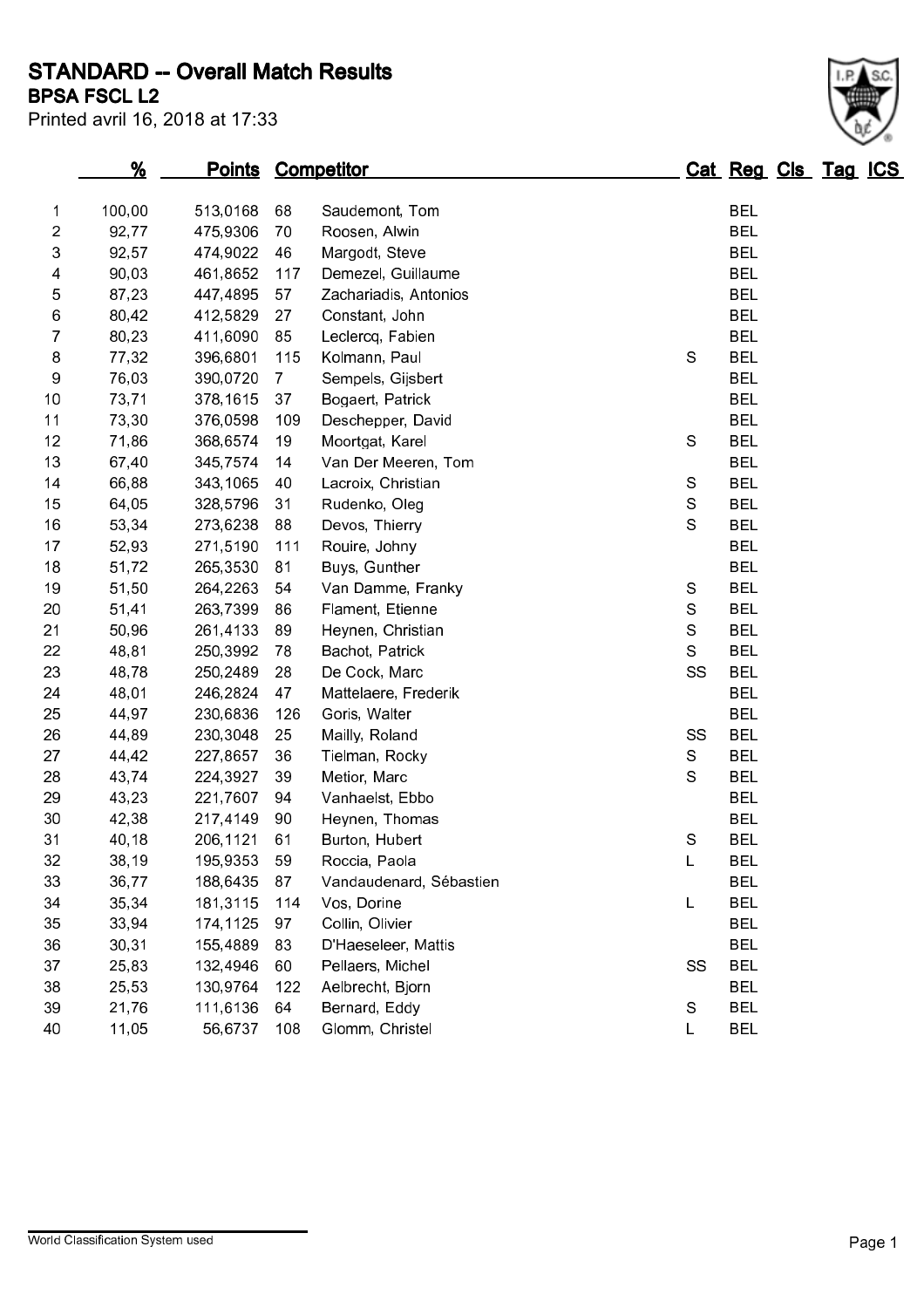STANDARD -- Overall Match Results

Printed avril 16, 2018 at 17:33

## BPSA FSCL L2

|                | %      |          |                | <b>Points Competitor</b> |               | Cat Reg Cls Tag ICS |  |  |
|----------------|--------|----------|----------------|--------------------------|---------------|---------------------|--|--|
| 1              | 100,00 | 513,0168 | 68             | Saudemont, Tom           |               | <b>BEL</b>          |  |  |
| $\overline{c}$ | 92,77  | 475,9306 | 70             | Roosen, Alwin            |               | <b>BEL</b>          |  |  |
| 3              | 92,57  | 474,9022 | 46             | Margodt, Steve           |               | <b>BEL</b>          |  |  |
| 4              | 90,03  | 461,8652 | 117            | Demezel, Guillaume       |               | <b>BEL</b>          |  |  |
| 5              | 87,23  | 447,4895 | 57             | Zachariadis, Antonios    |               | <b>BEL</b>          |  |  |
| 6              | 80,42  | 412,5829 | 27             | Constant, John           |               | <b>BEL</b>          |  |  |
| 7              | 80,23  | 411,6090 | 85             | Leclercq, Fabien         |               | <b>BEL</b>          |  |  |
| 8              | 77,32  | 396,6801 | 115            | Kolmann, Paul            | $\mathbf S$   | <b>BEL</b>          |  |  |
| 9              | 76,03  | 390,0720 | $\overline{7}$ | Sempels, Gijsbert        |               | <b>BEL</b>          |  |  |
| 10             | 73,71  | 378,1615 | 37             | Bogaert, Patrick         |               | <b>BEL</b>          |  |  |
| 11             | 73,30  | 376,0598 | 109            | Deschepper, David        |               | <b>BEL</b>          |  |  |
| 12             | 71,86  | 368,6574 | 19             | Moortgat, Karel          | ${\mathbb S}$ | <b>BEL</b>          |  |  |
| 13             | 67,40  | 345,7574 | 14             | Van Der Meeren, Tom      |               | <b>BEL</b>          |  |  |
| 14             | 66,88  | 343,1065 | 40             | Lacroix, Christian       | ${\mathbb S}$ | <b>BEL</b>          |  |  |
| 15             | 64,05  | 328,5796 | 31             | Rudenko, Oleg            | S             | <b>BEL</b>          |  |  |
| 16             | 53,34  | 273,6238 | 88             | Devos, Thierry           | ${\mathsf S}$ | <b>BEL</b>          |  |  |
| 17             | 52,93  | 271,5190 | 111            | Rouire, Johny            |               | <b>BEL</b>          |  |  |
| 18             | 51,72  | 265,3530 | 81             | Buys, Gunther            |               | <b>BEL</b>          |  |  |
| 19             | 51,50  | 264,2263 | 54             | Van Damme, Franky        | S             | <b>BEL</b>          |  |  |
| 20             | 51,41  | 263,7399 | 86             | Flament, Etienne         | $\rm S$       | <b>BEL</b>          |  |  |
| 21             | 50,96  | 261,4133 | 89             | Heynen, Christian        | ${\mathsf S}$ | <b>BEL</b>          |  |  |
| 22             | 48,81  | 250,3992 | 78             | Bachot, Patrick          | ${\mathbb S}$ | <b>BEL</b>          |  |  |
| 23             | 48,78  | 250,2489 | 28             | De Cock, Marc            | SS            | <b>BEL</b>          |  |  |
| 24             | 48,01  | 246,2824 | 47             | Mattelaere, Frederik     |               | <b>BEL</b>          |  |  |
| 25             | 44,97  | 230,6836 | 126            | Goris, Walter            |               | <b>BEL</b>          |  |  |
| 26             | 44,89  | 230,3048 | 25             | Mailly, Roland           | SS            | <b>BEL</b>          |  |  |
| 27             | 44,42  | 227,8657 | 36             | Tielman, Rocky           | $\rm S$       | <b>BEL</b>          |  |  |
| 28             | 43,74  | 224,3927 | 39             | Metior, Marc             | $\mathbf S$   | <b>BEL</b>          |  |  |
| 29             | 43,23  | 221,7607 | 94             | Vanhaelst, Ebbo          |               | <b>BEL</b>          |  |  |
| 30             | 42,38  | 217,4149 | 90             | Heynen, Thomas           |               | <b>BEL</b>          |  |  |
| 31             | 40,18  | 206,1121 | 61             | Burton, Hubert           | $\mathbb S$   | <b>BEL</b>          |  |  |
| 32             | 38,19  | 195,9353 | 59             | Roccia, Paola            | L             | BEL                 |  |  |
| 33             | 36,77  | 188,6435 | 87             | Vandaudenard, Sébastien  |               | <b>BEL</b>          |  |  |
| 34             | 35,34  | 181,3115 | 114            | Vos, Dorine              | L             | <b>BEL</b>          |  |  |
| 35             | 33,94  | 174,1125 | 97             | Collin, Olivier          |               | <b>BEL</b>          |  |  |
| 36             | 30,31  | 155,4889 | 83             | D'Haeseleer, Mattis      |               | <b>BEL</b>          |  |  |
| 37             | 25,83  | 132,4946 | 60             | Pellaers, Michel         | SS            | <b>BEL</b>          |  |  |
| 38             | 25,53  | 130,9764 | 122            | Aelbrecht, Bjorn         |               | <b>BEL</b>          |  |  |
| 39             | 21,76  | 111,6136 | 64             | Bernard, Eddy            | ${\mathbb S}$ | <b>BEL</b>          |  |  |
| 40             | 11,05  | 56,6737  | 108            | Glomm, Christel          | L             | <b>BEL</b>          |  |  |
|                |        |          |                |                          |               |                     |  |  |